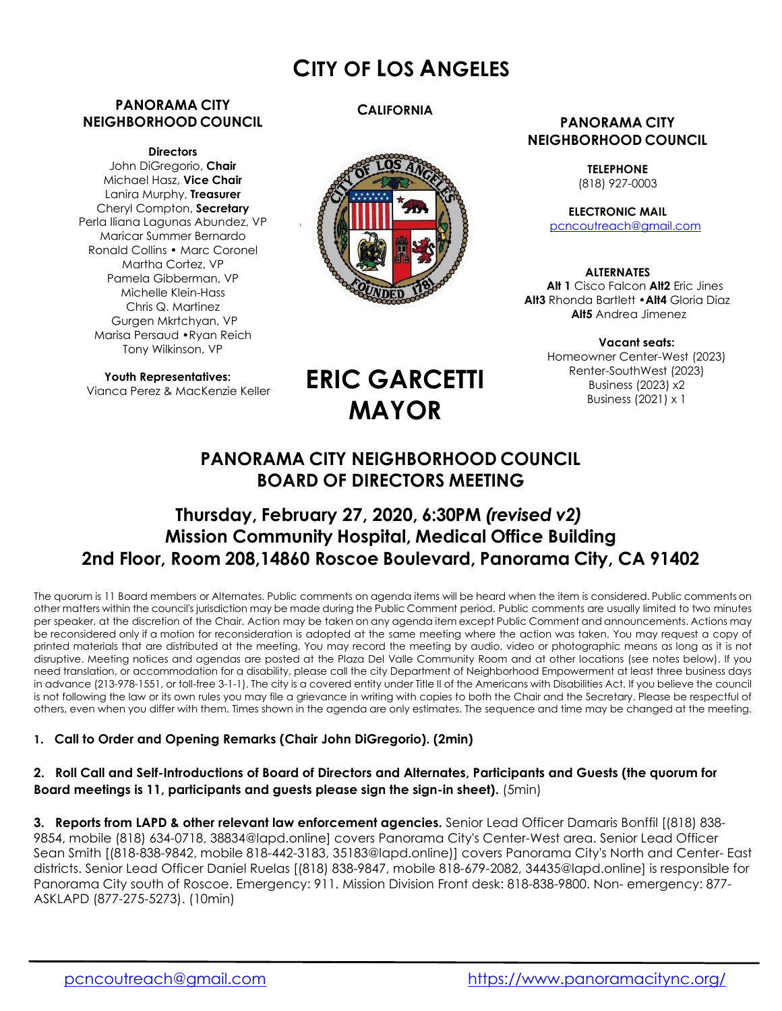## **CITY OF LOS ANGELES**

#### **PANORAMA CITY NEIGHBORHOOD COUNCIL**

#### **Directors**

John DiGregorio, **Chair**  Michael Hasz, **Vice Chair**  Lanira Murphy, **Treasurer**  Cheryl Compton, **Secretary** Perla Iliana Lagunas Abundez, VP Maricar Summer Bernardo Ronald Collins • Marc Coronel Martha Cortez, VP Pamela Gibberman, VP Michelle Klein-Hass Chris Q. Martinez Gurgen Mkrtchyan, VP Marisa Persaud •Ryan Reich Tony Wilkinson, VP

**Youth Representatives:** Vianca Perez & MacKenzie Keller

#### **CALIFORNIA**



#### **PANORAMA CITY NEIGHBORHOOD COUNCIL**

**TELEPHONE** (818) 927-0003

**ELECTRONIC MAIL** pcncoutreach@gmail.com

**ALTERNATES Alt 1** Cisco Falcon **Alt2** Eric Jines **Alt3** Rhonda Bartlett •**Alt4** Gloria Diaz **Alt5** Andrea Jimenez

> **Vacant seats:**  Homeowner Center-West (2023) Renter-SouthWest (2023) Business (2023) x2 Business (2021) x 1

# **ERIC GARCETTI MAYOR**

## **PANORAMA CITY NEIGHBORHOOD COUNCIL BOARD OF DIRECTORS MEETING**

## **Thursday, February 27, 2020, 6:30PM** *(revised v2)* **Mission Community Hospital, Medical Office Building 2nd Floor, Room 208,14860 Roscoe Boulevard, Panorama City, CA 91402**

The quorum is 11 Board members or Alternates. Public comments on agenda items will be heard when the item is considered. Public comments on other matters within the council's jurisdiction may be made during the Public Comment period. Public comments are usually limited to two minutes per speaker, at the discretion of the Chair. Action may be taken on any agenda item except Public Comment and announcements. Actions may be reconsidered only if a motion for reconsideration is adopted at the same meeting where the action was taken. You may request a copy of printed materials that are distributed at the meeting. You may record the meeting by audio, video or photographic means as long as it is not disruptive. Meeting notices and agendas are posted at the Plaza Del Valle Community Room and at other locations (see notes below). If you need translation, or accommodation for a disability, please call the city Department of Neighborhood Empowerment at least three business days in advance (213-978-1551, or toll-free 3-1-1). The city is a covered entity under Title II of the Americans with Disabilities Act. If you believe the council is not following the law or its own rules you may file a grievance in writing with copies to both the Chair and the Secretary. Please be respectful of others, even when you differ with them. Times shown in the agenda are only estimates. The sequence and time may be changed at the meeting.

#### **1. Call to Order and Opening Remarks (Chair John DiGregorio). (2min)**

#### **2. Roll Call and Self-Introductions of Board of Directors and Alternates, Participants and Guests (the quorum for Board meetings is 11, participants and guests please sign the sign-in sheet).** (5min)

**3. Reports from LAPD & other relevant law enforcement agencies.** Senior Lead Officer Damaris Bonffil [(818) 838- 9854, mobile (818) 634-0718, 38834@lapd.online] covers Panorama City's Center-West area. Senior Lead Officer Sean Smith [(818-838-9842, mobile 818-442-3183, 35183@lapd.online)] covers Panorama City's North and Center- East districts. Senior Lead Officer Daniel Ruelas [(818) 838-9847, mobile 818-679-2082, 34435@lapd.online] is responsible for Panorama City south of Roscoe. Emergency: 911. Mission Division Front desk: 818-838-9800. Non- emergency: 877- ASKLAPD (877-275-5273). (10min)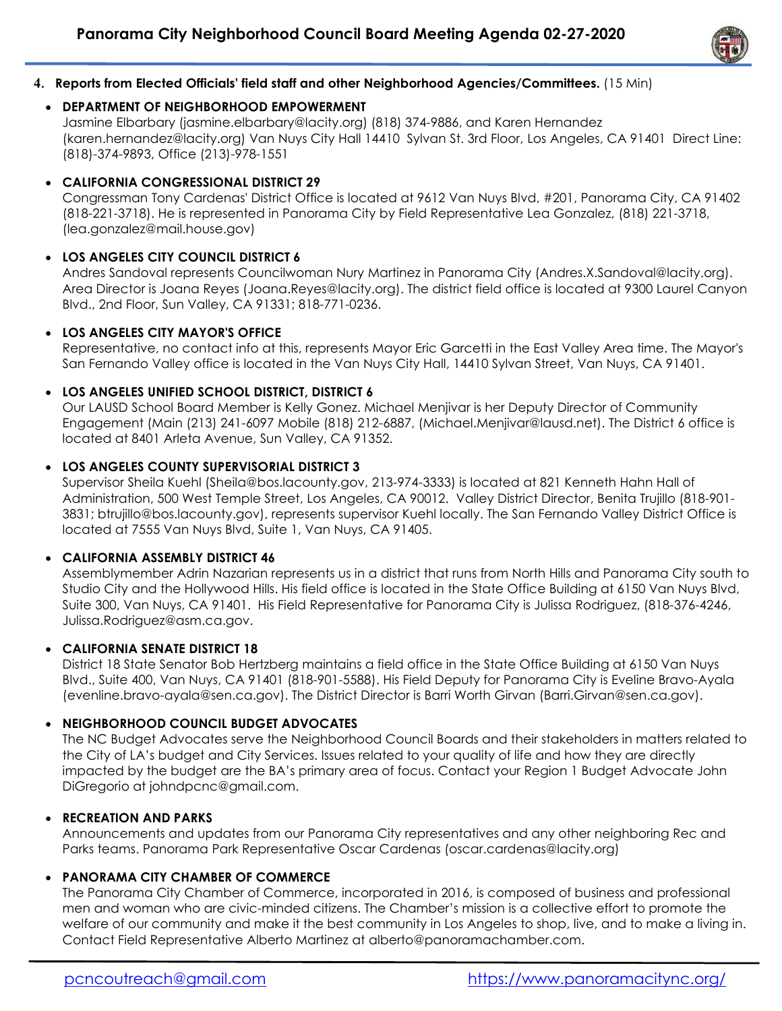

#### **4. Reports from Elected Officials' field staff and other Neighborhood Agencies/Committees.** (15 Min)

#### **DEPARTMENT OF NEIGHBORHOOD EMPOWERMENT**

 Jasmine Elbarbary (jasmine.elbarbary@lacity.org) (818) 374-9886, and Karen Hernandez (karen.hernandez@lacity.org) Van Nuys City Hall 14410 Sylvan St. 3rd Floor, Los Angeles, CA 91401 Direct Line: (818)-374-9893, Office (213)-978-1551

### **CALIFORNIA CONGRESSIONAL DISTRICT 29**

 Congressman Tony Cardenas' District Office is located at 9612 Van Nuys Blvd, #201, Panorama City, CA 91402 (818-221-3718). He is represented in Panorama City by Field Representative Lea Gonzalez, (818) 221-3718, (lea.gonzalez@mail.house.gov)

## **LOS ANGELES CITY COUNCIL DISTRICT 6**

 Andres Sandoval represents Councilwoman Nury Martinez in Panorama City (Andres.X.Sandoval@lacity.org). Area Director is Joana Reyes (Joana.Reyes@lacity.org). The district field office is located at 9300 Laurel Canyon Blvd., 2nd Floor, Sun Valley, CA 91331; 818-771-0236.

## **LOS ANGELES CITY MAYOR'S OFFICE**

 Representative, no contact info at this, represents Mayor Eric Garcetti in the East Valley Area time. The Mayor's San Fernando Valley office is located in the Van Nuys City Hall, 14410 Sylvan Street, Van Nuys, CA 91401.

## **LOS ANGELES UNIFIED SCHOOL DISTRICT, DISTRICT 6**

 Our LAUSD School Board Member is Kelly Gonez. Michael Menjivar is her Deputy Director of Community Engagement (Main (213) 241-6097 Mobile (818) 212-6887, (Michael.Menjivar@lausd.net). The District 6 office is located at 8401 Arleta Avenue, Sun Valley, CA 91352.

#### **LOS ANGELES COUNTY SUPERVISORIAL DISTRICT 3**

 Supervisor Sheila Kuehl (Sheila@bos.lacounty.gov, 213-974-3333) is located at 821 Kenneth Hahn Hall of Administration, 500 West Temple Street, Los Angeles, CA 90012. Valley District Director, Benita Trujillo (818-901- 3831; btrujillo@bos.lacounty.gov), represents supervisor Kuehl locally. The San Fernando Valley District Office is located at 7555 Van Nuys Blvd, Suite 1, Van Nuys, CA 91405.

#### **CALIFORNIA ASSEMBLY DISTRICT 46**

 Assemblymember Adrin Nazarian represents us in a district that runs from North Hills and Panorama City south to Studio City and the Hollywood Hills. His field office is located in the State Office Building at 6150 Van Nuys Blvd, Suite 300, Van Nuys, CA 91401. His Field Representative for Panorama City is Julissa Rodriguez, (818-376-4246, Julissa.Rodriguez@asm.ca.gov.

#### **CALIFORNIA SENATE DISTRICT 18**

 District 18 State Senator Bob Hertzberg maintains a field office in the State Office Building at 6150 Van Nuys Blvd., Suite 400, Van Nuys, CA 91401 (818-901-5588). His Field Deputy for Panorama City is Eveline Bravo-Ayala (evenline.bravo-ayala@sen.ca.gov). The District Director is Barri Worth Girvan (Barri.Girvan@sen.ca.gov).

## **NEIGHBORHOOD COUNCIL BUDGET ADVOCATES**

 The NC Budget Advocates serve the Neighborhood Council Boards and their stakeholders in matters related to the City of LA's budget and City Services. Issues related to your quality of life and how they are directly impacted by the budget are the BA's primary area of focus. Contact your Region 1 Budget Advocate John DiGregorio at johndpcnc@gmail.com.

#### **RECREATION AND PARKS**

 Announcements and updates from our Panorama City representatives and any other neighboring Rec and Parks teams. Panorama Park Representative Oscar Cardenas (oscar.cardenas@lacity.org)

## **PANORAMA CITY CHAMBER OF COMMERCE**

 The Panorama City Chamber of Commerce, incorporated in 2016, is composed of business and professional men and woman who are civic-minded citizens. The Chamber's mission is a collective effort to promote the welfare of our community and make it the best community in Los Angeles to shop, live, and to make a living in. Contact Field Representative Alberto Martinez at alberto@panoramachamber.com.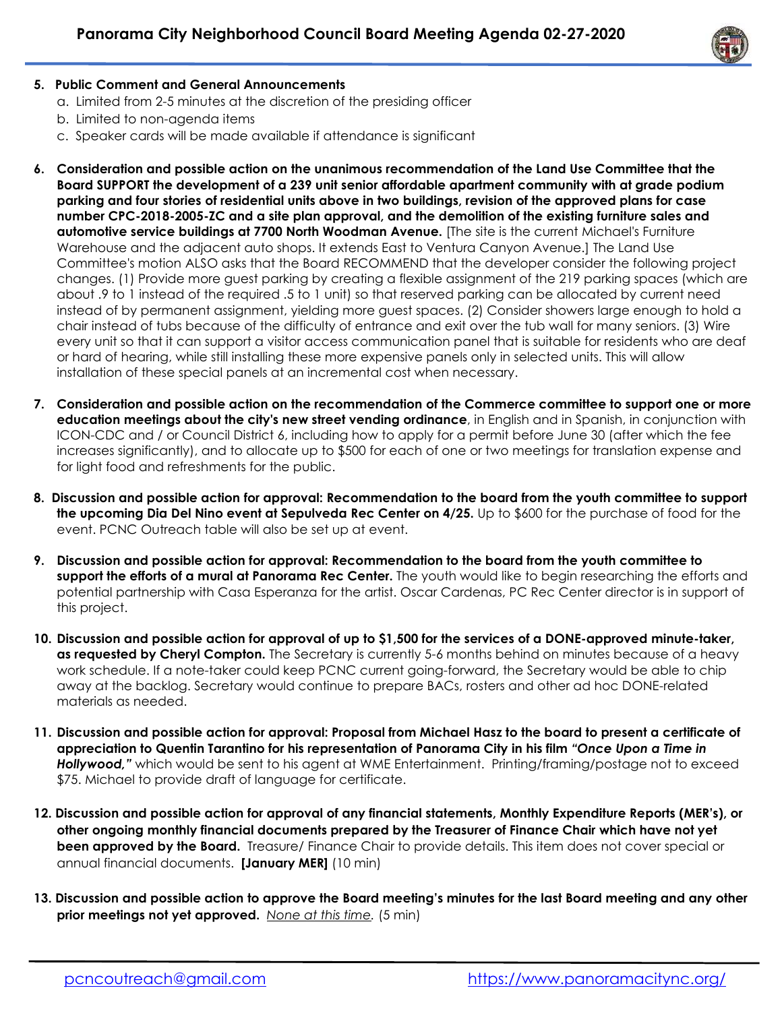

## **5. Public Comment and General Announcements**

- a. Limited from 2-5 minutes at the discretion of the presiding officer
- b. Limited to non-agenda items
- c. Speaker cards will be made available if attendance is significant
- **6. Consideration and possible action on the unanimous recommendation of the Land Use Committee that the Board SUPPORT the development of a 239 unit senior affordable apartment community with at grade podium parking and four stories of residential units above in two buildings, revision of the approved plans for case number CPC-2018-2005-ZC and a site plan approval, and the demolition of the existing furniture sales and automotive service buildings at 7700 North Woodman Avenue.** [The site is the current Michael's Furniture Warehouse and the adjacent auto shops. It extends East to Ventura Canyon Avenue.] The Land Use Committee's motion ALSO asks that the Board RECOMMEND that the developer consider the following project changes. (1) Provide more guest parking by creating a flexible assignment of the 219 parking spaces (which are about .9 to 1 instead of the required .5 to 1 unit) so that reserved parking can be allocated by current need instead of by permanent assignment, yielding more guest spaces. (2) Consider showers large enough to hold a chair instead of tubs because of the difficulty of entrance and exit over the tub wall for many seniors. (3) Wire every unit so that it can support a visitor access communication panel that is suitable for residents who are deaf or hard of hearing, while still installing these more expensive panels only in selected units. This will allow installation of these special panels at an incremental cost when necessary.
- **7. Consideration and possible action on the recommendation of the Commerce committee to support one or more education meetings about the city's new street vending ordinance**, in English and in Spanish, in conjunction with ICON-CDC and / or Council District 6, including how to apply for a permit before June 30 (after which the fee increases significantly), and to allocate up to \$500 for each of one or two meetings for translation expense and for light food and refreshments for the public.
- **8. Discussion and possible action for approval: Recommendation to the board from the youth committee to support the upcoming Dia Del Nino event at Sepulveda Rec Center on 4/25.** Up to \$600 for the purchase of food for the event. PCNC Outreach table will also be set up at event.
- **9. Discussion and possible action for approval: Recommendation to the board from the youth committee to support the efforts of a mural at Panorama Rec Center.** The youth would like to begin researching the efforts and potential partnership with Casa Esperanza for the artist. Oscar Cardenas, PC Rec Center director is in support of this project.
- **10. Discussion and possible action for approval of up to \$1,500 for the services of a DONE-approved minute-taker, as requested by Cheryl Compton.** The Secretary is currently 5-6 months behind on minutes because of a heavy work schedule. If a note-taker could keep PCNC current going-forward, the Secretary would be able to chip away at the backlog. Secretary would continue to prepare BACs, rosters and other ad hoc DONE-related materials as needed.
- **11. Discussion and possible action for approval: Proposal from Michael Hasz to the board to present a certificate of appreciation to Quentin Tarantino for his representation of Panorama City in his film** *"Once Upon a Time in Hollywood,"* which would be sent to his agent at WME Entertainment. Printing/framing/postage not to exceed \$75. Michael to provide draft of language for certificate.
- **12. Discussion and possible action for approval of any financial statements, Monthly Expenditure Reports (MER's), or other ongoing monthly financial documents prepared by the Treasurer of Finance Chair which have not yet been approved by the Board.** Treasure/ Finance Chair to provide details. This item does not cover special or annual financial documents. **[January MER]** (10 min)
- **13. Discussion and possible action to approve the Board meeting's minutes for the last Board meeting and any other prior meetings not yet approved.** *None at this time.* (5 min)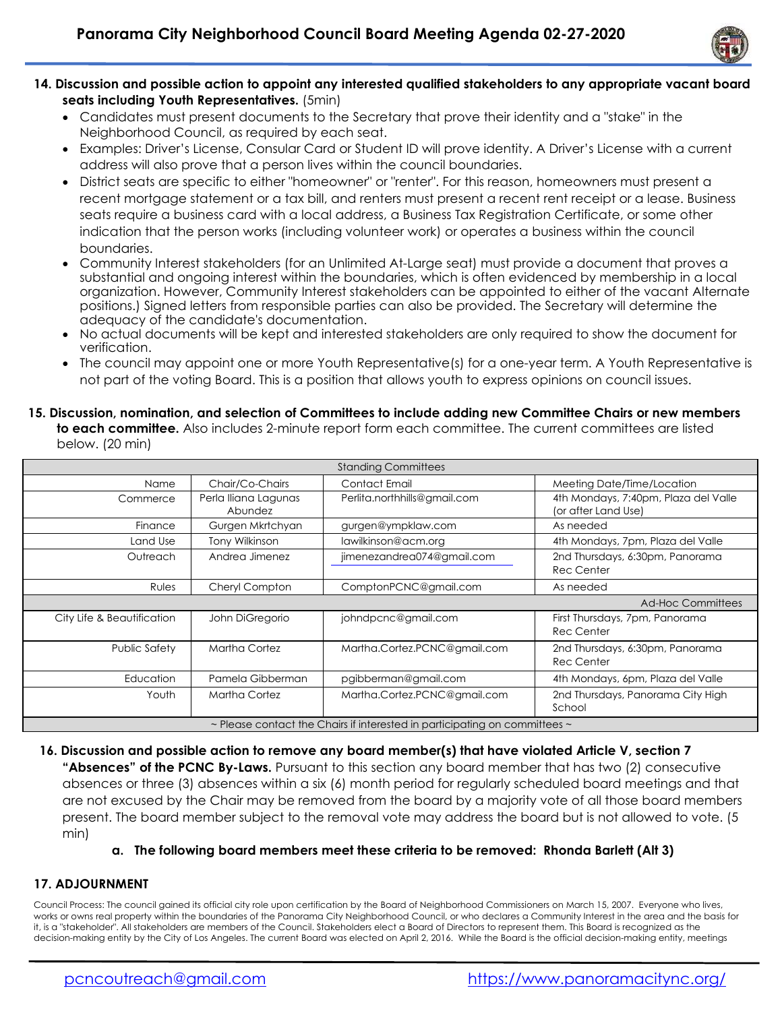

- **14. Discussion and possible action to appoint any interested qualified stakeholders to any appropriate vacant board seats including Youth Representatives.** (5min)
	- Candidates must present documents to the Secretary that prove their identity and a "stake" in the Neighborhood Council, as required by each seat.
	- Examples: Driver's License, Consular Card or Student ID will prove identity. A Driver's License with a current address will also prove that a person lives within the council boundaries.
	- District seats are specific to either "homeowner" or "renter". For this reason, homeowners must present a recent mortgage statement or a tax bill, and renters must present a recent rent receipt or a lease. Business seats require a business card with a local address, a Business Tax Registration Certificate, or some other indication that the person works (including volunteer work) or operates a business within the council boundaries.
	- Community Interest stakeholders (for an Unlimited At-Large seat) must provide a document that proves a substantial and ongoing interest within the boundaries, which is often evidenced by membership in a local organization. However, Community Interest stakeholders can be appointed to either of the vacant Alternate positions.) Signed letters from responsible parties can also be provided. The Secretary will determine the adequacy of the candidate's documentation.
	- No actual documents will be kept and interested stakeholders are only required to show the document for verification.
	- The council may appoint one or more Youth Representative(s) for a one-year term. A Youth Representative is not part of the voting Board. This is a position that allows youth to express opinions on council issues.

#### **15. Discussion, nomination, and selection of Committees to include adding new Committee Chairs or new members to each committee.** Also includes 2-minute report form each committee. The current committees are listed below. (20 min)

| <b>Standing Committees</b> |                                 |                              |                                                             |
|----------------------------|---------------------------------|------------------------------|-------------------------------------------------------------|
| Name                       | Chair/Co-Chairs                 | Contact Email                | Meeting Date/Time/Location                                  |
| Commerce                   | Perla Iliana Lagunas<br>Abundez | Perlita.northhills@gmail.com | 4th Mondays, 7:40pm, Plaza del Valle<br>(or after Land Use) |
| Finance                    | Gurgen Mkrtchyan                | gurgen@ympklaw.com           | As needed                                                   |
| Land Use                   | <b>Tony Wilkinson</b>           | lawilkinson@acm.org          | 4th Mondays, 7pm, Plaza del Valle                           |
| Outreach                   | Andrea Jimenez                  | jimenezandrea074@gmail.com   | 2nd Thursdays, 6:30pm, Panorama<br><b>Rec Center</b>        |
| Rules                      | Cheryl Compton                  | ComptonPCNC@gmail.com        | As needed                                                   |
|                            |                                 |                              |                                                             |
|                            |                                 |                              | <b>Ad-Hoc Committees</b>                                    |
| City Life & Beautification | John DiGregorio                 | johndpcnc@gmail.com          | First Thursdays, 7pm, Panorama<br><b>Rec Center</b>         |
| Public Safety              | Martha Cortez                   | Martha.Cortez.PCNC@gmail.com | 2nd Thursdays, 6:30pm, Panorama<br><b>Rec Center</b>        |
| Education                  | Pamela Gibberman                | pgibberman@gmail.com         | 4th Mondays, 6pm, Plaza del Valle                           |
| Youth                      | Martha Cortez                   | Martha.Cortez.PCNC@gmail.com | 2nd Thursdays, Panorama City High<br>School                 |

**16. Discussion and possible action to remove any board member(s) that have violated Article V, section 7 "Absences" of the PCNC By-Laws.** Pursuant to this section any board member that has two (2) consecutive absences or three (3) absences within a six (6) month period for regularly scheduled board meetings and that are not excused by the Chair may be removed from the board by a majority vote of all those board members present. The board member subject to the removal vote may address the board but is not allowed to vote. (5 min)

#### **a. The following board members meet these criteria to be removed: Rhonda Barlett (Alt 3)**

#### **17. ADJOURNMENT**

Council Process: The council gained its official city role upon certification by the Board of Neighborhood Commissioners on March 15, 2007. Everyone who lives, works or owns real property within the boundaries of the Panorama City Neighborhood Council, or who declares a Community Interest in the area and the basis for it, is a "stakeholder". All stakeholders are members of the Council. Stakeholders elect a Board of Directors to represent them. This Board is recognized as the decision-making entity by the City of Los Angeles. The current Board was elected on April 2, 2016. While the Board is the official decision-making entity, meetings